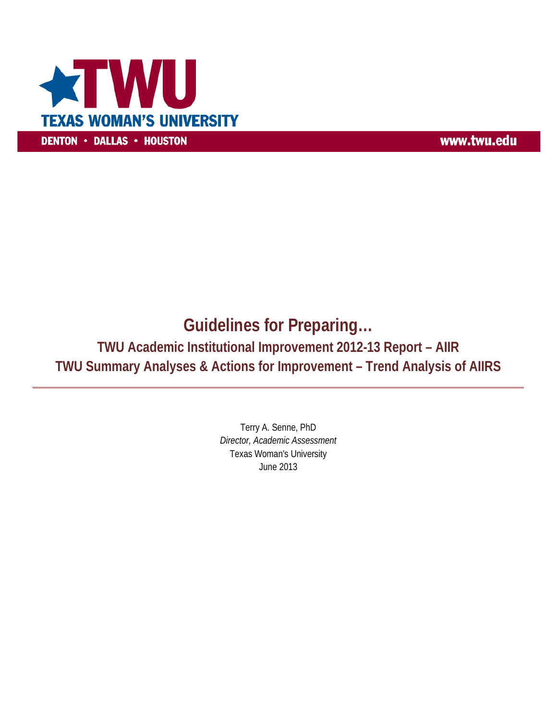

www.twu.edu

# **Guidelines for Preparing…**

**TWU Academic Institutional Improvement 2012-13 Report – AIIR TWU Summary Analyses & Actions for Improvement – Trend Analysis of AIIRS** 

> Terry A. Senne, PhD *Director, Academic Assessment* Texas Woman's University June 2013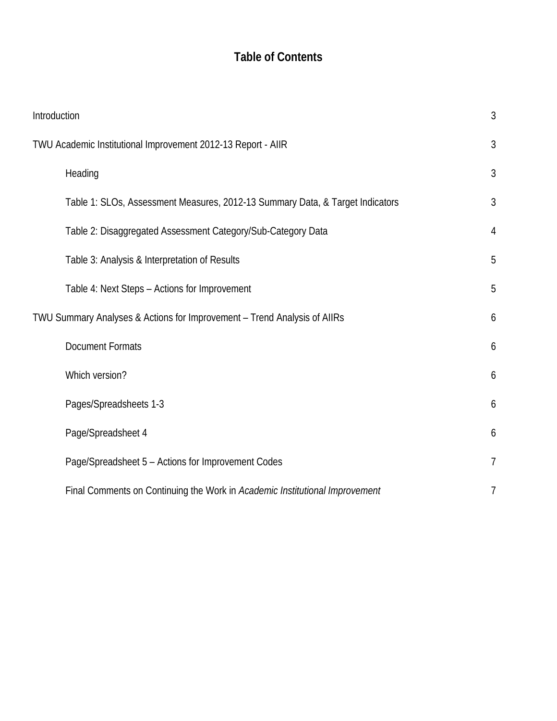## **Table of Contents**

| Introduction                                                 |                                                                               | 3              |
|--------------------------------------------------------------|-------------------------------------------------------------------------------|----------------|
| TWU Academic Institutional Improvement 2012-13 Report - AIIR |                                                                               | 3              |
|                                                              | Heading                                                                       | 3              |
|                                                              | Table 1: SLOs, Assessment Measures, 2012-13 Summary Data, & Target Indicators | 3              |
|                                                              | Table 2: Disaggregated Assessment Category/Sub-Category Data                  | $\overline{4}$ |
|                                                              | Table 3: Analysis & Interpretation of Results                                 | 5              |
|                                                              | Table 4: Next Steps - Actions for Improvement                                 | 5              |
|                                                              | TWU Summary Analyses & Actions for Improvement - Trend Analysis of AllRs      | 6              |
|                                                              | <b>Document Formats</b>                                                       | 6              |
|                                                              | Which version?                                                                | 6              |
|                                                              | Pages/Spreadsheets 1-3                                                        | 6              |
|                                                              | Page/Spreadsheet 4                                                            | 6              |
|                                                              | Page/Spreadsheet 5 - Actions for Improvement Codes                            | $\overline{1}$ |
|                                                              | Final Comments on Continuing the Work in Academic Institutional Improvement   | 7              |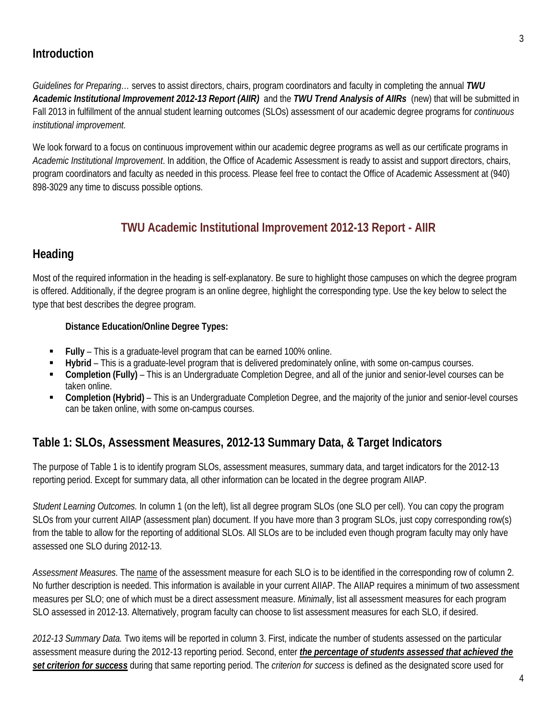#### **Introduction**

*Guidelines for Preparing…* serves to assist directors, chairs, program coordinators and faculty in completing the annual *TWU Academic Institutional Improvement 2012-13 Report (AIIR)* and the *TWU Trend Analysis of AIIRs* (new) that will be submitted in Fall 2013 in fulfillment of the annual student learning outcomes (SLOs) assessment of our academic degree programs for *continuous institutional improvement*.

We look forward to a focus on continuous improvement within our academic degree programs as well as our certificate programs in *Academic Institutional Improvement*. In addition, the Office of Academic Assessment is ready to assist and support directors, chairs, program coordinators and faculty as needed in this process. Please feel free to contact the Office of Academic Assessment at (940) 898-3029 any time to discuss possible options.

#### **TWU Academic Institutional Improvement 2012-13 Report - AIIR**

#### **Heading**

Most of the required information in the heading is self-explanatory. Be sure to highlight those campuses on which the degree program is offered. Additionally, if the degree program is an online degree, highlight the corresponding type. Use the key below to select the type that best describes the degree program.

#### **Distance Education/Online Degree Types:**

- **Fully** This is a graduate-level program that can be earned 100% online.
- **Hybrid**  This is a graduate-level program that is delivered predominately online, with some on-campus courses.
- **Completion (Fully)** This is an Undergraduate Completion Degree, and all of the junior and senior-level courses can be taken online.
- **Completion (Hybrid)** This is an Undergraduate Completion Degree, and the majority of the junior and senior-level courses can be taken online, with some on-campus courses.

#### **Table 1: SLOs, Assessment Measures, 2012-13 Summary Data, & Target Indicators**

The purpose of Table 1 is to identify program SLOs, assessment measures, summary data, and target indicators for the 2012-13 reporting period. Except for summary data, all other information can be located in the degree program AIIAP.

*Student Learning Outcomes.* In column 1 (on the left), list all degree program SLOs (one SLO per cell). You can copy the program SLOs from your current AIIAP (assessment plan) document. If you have more than 3 program SLOs, just copy corresponding row(s) from the table to allow for the reporting of additional SLOs. All SLOs are to be included even though program faculty may only have assessed one SLO during 2012-13.

*Assessment Measures.* The name of the assessment measure for each SLO is to be identified in the corresponding row of column 2. No further description is needed. This information is available in your current AIIAP. The AIIAP requires a minimum of two assessment measures per SLO; one of which must be a direct assessment measure. *Minimally*, list all assessment measures for each program SLO assessed in 2012-13. Alternatively, program faculty can choose to list assessment measures for each SLO, if desired.

*2012-13 Summary Data.* Two items will be reported in column 3. First, indicate the number of students assessed on the particular assessment measure during the 2012-13 reporting period. Second, enter *the percentage of students assessed that achieved the set criterion for success* during that same reporting period. The *criterion for success* is defined as the designated score used for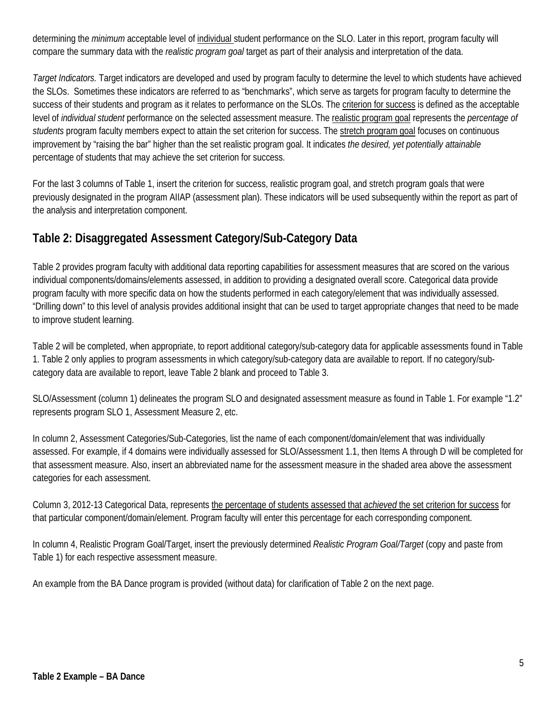determining the *minimum* acceptable level of individual student performance on the SLO. Later in this report, program faculty will compare the summary data with the *realistic program goal* target as part of their analysis and interpretation of the data.

*Target Indicators.* Target indicators are developed and used by program faculty to determine the level to which students have achieved the SLOs. Sometimes these indicators are referred to as "benchmarks", which serve as targets for program faculty to determine the success of their students and program as it relates to performance on the SLOs. The criterion for success is defined as the acceptable level of *individual student* performance on the selected assessment measure. The realistic program goal represents the *percentage of students* program faculty members expect to attain the set criterion for success. The stretch program goal focuses on continuous improvement by "raising the bar" higher than the set realistic program goal. It indicates *the desired, yet potentially attainable* percentage of students that may achieve the set criterion for success.

For the last 3 columns of Table 1, insert the criterion for success, realistic program goal, and stretch program goals that were previously designated in the program AIIAP (assessment plan). These indicators will be used subsequently within the report as part of the analysis and interpretation component.

#### **Table 2: Disaggregated Assessment Category/Sub-Category Data**

Table 2 provides program faculty with additional data reporting capabilities for assessment measures that are scored on the various individual components/domains/elements assessed, in addition to providing a designated overall score. Categorical data provide program faculty with more specific data on how the students performed in each category/element that was individually assessed. "Drilling down" to this level of analysis provides additional insight that can be used to target appropriate changes that need to be made to improve student learning.

Table 2 will be completed, when appropriate, to report additional category/sub-category data for applicable assessments found in Table 1. Table 2 only applies to program assessments in which category/sub-category data are available to report. If no category/subcategory data are available to report, leave Table 2 blank and proceed to Table 3.

SLO/Assessment (column 1) delineates the program SLO and designated assessment measure as found in Table 1. For example "1.2" represents program SLO 1, Assessment Measure 2, etc.

In column 2, Assessment Categories/Sub-Categories, list the name of each component/domain/element that was individually assessed. For example, if 4 domains were individually assessed for SLO/Assessment 1.1, then Items A through D will be completed for that assessment measure. Also, insert an abbreviated name for the assessment measure in the shaded area above the assessment categories for each assessment.

Column 3, 2012-13 Categorical Data, represents the percentage of students assessed that *achieved* the set criterion for success for that particular component/domain/element. Program faculty will enter this percentage for each corresponding component.

In column 4, Realistic Program Goal/Target, insert the previously determined *Realistic Program Goal/Target* (copy and paste from Table 1) for each respective assessment measure.

An example from the BA Dance program is provided (without data) for clarification of Table 2 on the next page.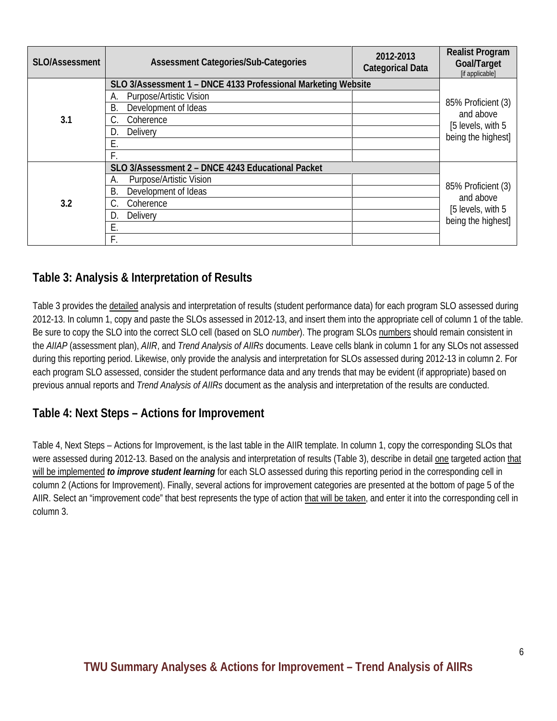| SLO/Assessment | <b>Assessment Categories/Sub-Categories</b>                   | 2012-2013<br><b>Categorical Data</b> | <b>Realist Program</b><br>Goal/Target<br>[if applicable]                   |  |  |
|----------------|---------------------------------------------------------------|--------------------------------------|----------------------------------------------------------------------------|--|--|
|                | SLO 3/Assessment 1 - DNCE 4133 Professional Marketing Website |                                      |                                                                            |  |  |
|                | <b>Purpose/Artistic Vision</b><br>А.                          |                                      | 85% Proficient (3)<br>and above<br>[5 levels, with 5<br>being the highest] |  |  |
|                | Development of Ideas<br><b>B.</b>                             |                                      |                                                                            |  |  |
| 3.1            | Coherence                                                     |                                      |                                                                            |  |  |
|                | Delivery<br>D.                                                |                                      |                                                                            |  |  |
|                | E.                                                            |                                      |                                                                            |  |  |
|                |                                                               |                                      |                                                                            |  |  |
|                | SLO 3/Assessment 2 - DNCE 4243 Educational Packet             |                                      |                                                                            |  |  |
|                | Purpose/Artistic Vision<br>А.                                 |                                      | 85% Proficient (3)<br>and above<br>[5 levels, with 5<br>being the highest] |  |  |
|                | Development of Ideas<br>В.                                    |                                      |                                                                            |  |  |
| 3.2            | Coherence                                                     |                                      |                                                                            |  |  |
|                | Delivery<br>D.                                                |                                      |                                                                            |  |  |
|                | Ε.                                                            |                                      |                                                                            |  |  |
|                | F.                                                            |                                      |                                                                            |  |  |

#### **Table 3: Analysis & Interpretation of Results**

Table 3 provides the detailed analysis and interpretation of results (student performance data) for each program SLO assessed during 2012-13. In column 1, copy and paste the SLOs assessed in 2012-13, and insert them into the appropriate cell of column 1 of the table. Be sure to copy the SLO into the correct SLO cell (based on SLO *number*). The program SLOs numbers should remain consistent in the *AIIAP* (assessment plan), *AIIR*, and *Trend Analysis of AIIRs* documents. Leave cells blank in column 1 for any SLOs not assessed during this reporting period. Likewise, only provide the analysis and interpretation for SLOs assessed during 2012-13 in column 2. For each program SLO assessed, consider the student performance data and any trends that may be evident (if appropriate) based on previous annual reports and *Trend Analysis of AIIRs* document as the analysis and interpretation of the results are conducted.

#### **Table 4: Next Steps – Actions for Improvement**

Table 4, Next Steps – Actions for Improvement, is the last table in the AIIR template. In column 1, copy the corresponding SLOs that were assessed during 2012-13. Based on the analysis and interpretation of results (Table 3), describe in detail one targeted action that will be implemented *to improve student learning* for each SLO assessed during this reporting period in the corresponding cell in column 2 (Actions for Improvement). Finally, several actions for improvement categories are presented at the bottom of page 5 of the AIIR. Select an "improvement code" that best represents the type of action that will be taken, and enter it into the corresponding cell in column 3.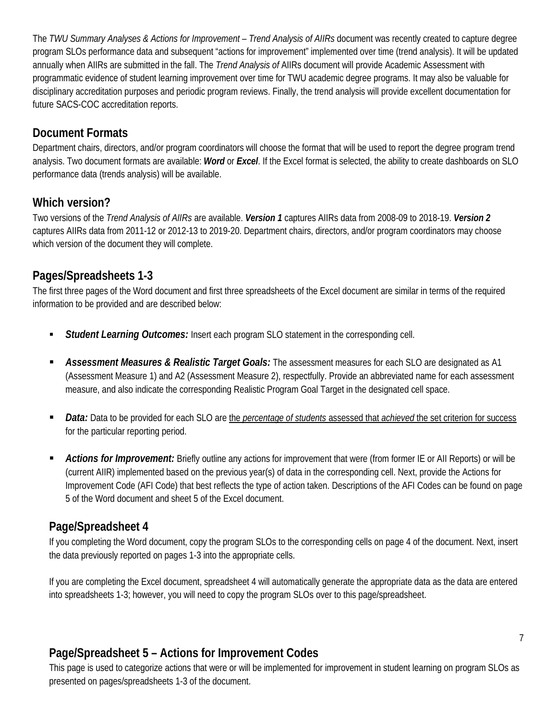The *TWU Summary Analyses & Actions for Improvement – Trend Analysis of AIIRs* document was recently created to capture degree program SLOs performance data and subsequent "actions for improvement" implemented over time (trend analysis). It will be updated annually when AIIRs are submitted in the fall. The *Trend Analysis of* AIIRs document will provide Academic Assessment with programmatic evidence of student learning improvement over time for TWU academic degree programs. It may also be valuable for disciplinary accreditation purposes and periodic program reviews. Finally, the trend analysis will provide excellent documentation for future SACS-COC accreditation reports.

#### **Document Formats**

Department chairs, directors, and/or program coordinators will choose the format that will be used to report the degree program trend analysis. Two document formats are available: *Word* or *Excel*. If the Excel format is selected, the ability to create dashboards on SLO performance data (trends analysis) will be available.

#### **Which version?**

Two versions of the *Trend Analysis of AIIRs* are available. *Version 1* captures AIIRs data from 2008-09 to 2018-19. *Version 2* captures AIIRs data from 2011-12 or 2012-13 to 2019-20. Department chairs, directors, and/or program coordinators may choose which version of the document they will complete.

#### **Pages/Spreadsheets 1-3**

The first three pages of the Word document and first three spreadsheets of the Excel document are similar in terms of the required information to be provided and are described below:

- *Student Learning Outcomes:* Insert each program SLO statement in the corresponding cell.
- *Assessment Measures & Realistic Target Goals:* The assessment measures for each SLO are designated as A1 (Assessment Measure 1) and A2 (Assessment Measure 2), respectfully. Provide an abbreviated name for each assessment measure, and also indicate the corresponding Realistic Program Goal Target in the designated cell space.
- *Data:* Data to be provided for each SLO are the *percentage of students* assessed that *achieved* the set criterion for success for the particular reporting period.
- *Actions for Improvement:* Briefly outline any actions for improvement that were (from former IE or AII Reports) or will be (current AIIR) implemented based on the previous year(s) of data in the corresponding cell. Next, provide the Actions for Improvement Code (AFI Code) that best reflects the type of action taken. Descriptions of the AFI Codes can be found on page 5 of the Word document and sheet 5 of the Excel document.

#### **Page/Spreadsheet 4**

If you completing the Word document, copy the program SLOs to the corresponding cells on page 4 of the document. Next, insert the data previously reported on pages 1-3 into the appropriate cells.

If you are completing the Excel document, spreadsheet 4 will automatically generate the appropriate data as the data are entered into spreadsheets 1-3; however, you will need to copy the program SLOs over to this page/spreadsheet.

#### **Page/Spreadsheet 5 – Actions for Improvement Codes**

This page is used to categorize actions that were or will be implemented for improvement in student learning on program SLOs as presented on pages/spreadsheets 1-3 of the document.